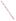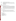## **ENVIRONMENTAL PROTECTION AGENCY (EPA)**

**GAS MANAGEMENT." Agency: ENVIRONMENTAL PROTECTION AGENCY (EPA) Title: "COST-EFFECTIVE APPROACHES TO REDUCING GREENHOUSE GAS EMISSIONS THROUGH ENERGY EFFICIENCY, CLEAN ENERGY, AND CORPORATE GREENHOUSE** 

GAS MANAGEMENT."<br>**Action:** Request for Proposals (RFP)<br>**RFP No.: EPA-OAR-CPPD-08-04** 

## 66.034

**Catalog of Federal Domestic Assistance (CFDA) No.:** 66.034<br>**Dates:** The closing date and time for receipt of hard copy proposal packages is **August 6, 2008, 4:00 p.m. eastern standard time (EST)**. All hard copies of proposal packages must be received by Kayla Roach by August 6, 2008, 4:00 p.m., EST in order to be considered for funding. Electronic submissions must be submitted via Grants.gov by August 6, 2008, 11:59 p.m., EST. Proposals received after the closing date and time will not be considered for funding. Final applications will be requested from those eligible entities whose proposal has been successfully evaluated and preliminarily recommended for award.

### **Summary:** This notice announces the availability of funds and solicits proposals to advance energy efficiency and clean energy programming and policies, including corporate greenhouse gas management, through costeffective strategies.

## **Funding/Awards:**

The total estimated funding for this competitive opportunity is approximately \$6,000,000. EPA anticipates awarding 1-10 grants, ranging in annual value from \$40,000 to \$90,000, from this announcement. Additionally, EPA anticipates awarding 4-10 cooperative agreements, ranging in annual value from \$100,000 to \$250,000. Awards are subject to the availability of funds and quality of evaluated proposals.

## CONTENTS BY SECTION

- I. Funding Opportunity Description
- II. Award Information
- III. Eligibility Information
- IV. Proposal and Submission Information
- V. Proposal Review Information
- VI. Award Administration Information
- VII. Agency Contact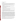# **I. Funding Opportunity Description**

## **A. Background**

The Climate Protection Partnerships Division (CPPD) is committed to reducing greenhouse gases through energyefficiency, clean energy, and corporate greenhouse gas management by employing cost-effective partnerships with industries in all appropriate sectors of our economy. CPPD's programs and activities include:

- **ENERGY STAR Labeling, Residential and Commercial/Industrial.** These programs offer businesses and consumers energy-efficient solutions, making it easy to save money while protecting the environment for future generations.
- **Combined Heat and Power (CHP) Partnership**. Working with partners and stakeholders, the CHP Partnership fosters development of cost-effective CHP applications.
- **Clean Energy-Environment State Program.** In this initiative EPA works closely with states to promote clean energy policies and programs.
- **Climate Leaders.** In 2002, EPA established *Climate Leaders* as an industry-government partnership to work with companies to develop comprehensive climate change strategies.
- **Green Power Partnership.** This program supports organizations interested in purchasing or installing green power products as a key component of their environmental strategies.
- **The National Action Plan for Energy Efficiency ("Action Plan").** In addition to the partnership programs noted above, CPPD also facilitates the Action Plan and, separately, provides assistance to state utility commissions interested in exploring policies that recognize the full environmental and economic benefits of clean energy.

In 1992, EPA introduced ENERGY STAR as a voluntary labeling program designed to identify and promote energy-efficient products to reduce greenhouse gas emissions. In 1996, EPA partnered with the U.S. Department of Energy (DOE) for particular product categories. The ENERGY STAR label is now on major appliances, office equipment, lighting, consumer electronics, and more. EPA has also extended the label to cover new homes and commercial and industrial buildings. Through the partnerships with more than 7,000 private and public sector organizations, ENERGY STAR delivers technical information and tools that organizations and consumers need to choose energy-efficient solutions and best management practices. In 2001, EPA established the CHP Partnership in an effort to publicize the potential energy, environmental, and economic benefits of using CHP to meet a greater portion of our nation's growing energy demand. Since 2002, Climate Leaders has worked with industry to inventory their greenhouse gas emissions, establish aggressive reduction goals, and track and report their progress annually. EPA's Green Power Partnership provides expert advice, tools and resources, credibility, and publicity and recognition support to their partners. In 2005, the Clean Energy-Environment State Program was established to help states review and adopt available policies and programs that effectively integrate clean energy into a lowcost, clean and reliable energy system. And, lastly, through EPA's facilitation of the Action Plan, as well as our support to utility commissions, critical policies are advanced to support the aggressive pursuit of energy efficiency and clean energy.

The Climate Protection Partnerships Division seeks to further enhance delivery of energy efficient products to the residential and commercial sectors, as well as services and best practices to the commercial and industrial marketplace by funding proposals that advance improvement in energy efficiency, CHP programming, greenhouse gas management, green power, energy efficiency, and clean energy policies.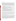## **B. Scope of Work**

Section 103 of the Clean Air Act authorizes the federal government to provide grants to conduct, and promote the coordination and acceleration of research, investigations, experiments, demonstrations, surveys, and studies relating to the causes, effects (including health and welfare effects), extent, prevention, and control of air pollution. The Climate Protection Partnerships Division seeks proposals from eligible entities that will advance international (greenhouse gas management only), national, regional, state, and/or local energy efficiency and clean energy programming by utilizing market-based approaches to program design and delivery, and by fostering information exchange about policies that are supportive of these approaches. Proposals should demonstrate the potential to create lasting change in the market for energy efficient and clean generation products, services, and best practices. Proposed activities should address one or more of the following concerns:

- Improving energy performance in the residential and/or commercial/government market through increased use of high-efficiency products
- Increasing supply/market share for high efficiency products through retail, e-tail, and other sales outlets
- Delivering improved energy performance to existing commercial buildings (e.g., offices, schools, hotels, hospitals, supermarkets, datacenters, etc.) through technology or practice
- Promoting improved energy performance in the commercial new construction market
- Increasing knowledge of CHP or waste energy applications and design principles among engineers, architects, or within the sustainable design community
- Improving quantification and management of greenhouse gas emissions, reductions, and energy use across the lifecycle of products (e.g., electronics) and industry sectors, such as manufacturing
- Providing information and technical support on greenhouse gas management in the public and private sectors
- Increasing demand/market penetration for green power products and on-site renewables
- Fostering the removal of barriers for the development and use of clean energy and renewable energy technologies, through the development of effective programs of policies.
- Providing information and/or technical support about policies that have been effective at the state or regional level in encouraging recognition of the full range of benefits of energy efficiency in the utility and public sectors.

Proposals submitted for consideration should: (1) identify specific approaches for working with stakeholders; (2) demonstrate an understanding of the technologies and market structure for delivery of the technologies, or best practices, to energy end users; (3) identify market barriers to greater adoption of energy efficient and clean energy technologies, or best practices, and (4) delineate strategies for overcoming barriers identified.

While the above paragraphs describe areas that proposals should address, they are not absolute requirements. However, applicants should note that proposals that address these areas may score higher during the evaluation process than proposals that do not address them.

In addition, to be eligible for funding consideration, a project's focus must consist of activities within the statutory terms of EPA's financial assistance authorities; specifically, the statute listed above. These activities are limited to research, investigations, experiments, demonstrations, surveys, training, outreach and studies. Proposals that include project implementation will not be accepted. Generally, a project must address the causes, effects, extent, prevention, reduction, and elimination of air pollution. These activities should relate to the gathering or transferring of information or advancing the state of knowledge. Proposals should emphasize this "learning" concept, as opposed to "fixing" an environmental problem via a well-established method. Proposals relating to other topics which are sometimes included within the term "environment" such as recreation, conservation, restoration, protection of wildlife habitats, etc., must describe the relationship of these topics to the statutorily required purpose of pollution prevention and/or control.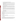## **C. EPA Strategic Plan Linkage and Anticipated Outcomes/Outputs**

**1. Linkage to EPA Strategic Plan***.* This project supports progress towards EPA Strategic Plan Goal 1 (Clean Air and Global Climate Change), Objective1.5 (Reduce Greenhouse Gas Intensity). This project supports EPA efforts in fostering voluntary energy efficiency improvements with the goal of reducing carbon dioxide emissions.

**2. Outputs.** The term "output" means an environmental activity, effort, and/or associated work product related to an environmental goal and objective that will be produced or provided over a period of time or by a specified date. Outputs may be quantitative or qualitative but must be measurable during an assistance agreement funding period.

The anticipated outputs for this project may include educational and outreach materials; conferences and trainings; and other programs, policies and activities that will support increased use of strategic energy management practices and the increased purchase of energy efficient products as a means to reduce greenhouse gas emissions.

**3. Outcomes.** The term "outcome" means the result, effect or consequence that will occur from carrying out an environmental program or activity that is related to an environmental or programmatic goal or objective. Outcomes may be environmental, behavioral, health-related, or programmatic in nature, but must be quantitative. They may not necessarily be achievable within an assistance agreement funding period.

Projects to be funded under this announcement are expected to support outcomes including a reduction in emissions of greenhouse gases by creating a lasting change in the market for energy efficient products, services, and/or best practices.

## **D. Supplementary Information**

The statutory authority for this action is the Clean Air Act, Section 103(b)(3) which authorizes the award of grants for research, investigations, experiments, demonstrations, surveys, and studies related to the prevention and control of air pollution.

In addition, Section 102(2) (F) of the National Environmental Policy Act authorizes Agency support of initiatives and programs designed to maximize international cooperation to anticipate and prevent a decline in the quality of the world environment.

## **II. Award Information**

# **A. What is the amount of funding available?**

The total estimated funding expected to be available for awards under this competitive opportunity shall not exceed \$6,000,000.

# **B. Partial Funding**

In appropriate circumstances, EPA reserves the right to partially fund proposals by funding discrete activities, portions, or phases of proposed projects. If EPA decides to partially fund a proposal, it will do so in a manner that does not prejudice any applicants or affect the basis upon which the proposal or portion thereof, was evaluated and selected for award, and therefore maintains the integrity of the competition and selection process.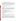## **C. How many agreements will EPA award in this competition?**

The total estimated funding for this competitive opportunity is approximately \$6,000,000.EPA anticipates awarding 1-10 grants, ranging in annual value from \$40,000 to \$90,000, from this announcement. Additionally, EPA anticipates awarding 4-10 cooperative agreements, ranging in annual value from \$100,000 to \$250,000. Awards are subject to the availability of funds and quality of evaluated proposals. EPA reserves the right to make additional awards under this announcement, consistent with Agency policy, if additional funding becomes available. Any additional selections for awards will be made no later than six months from the date of original selection date.

# **D. What is the project period for awards resulting from this solicitation?**

The estimated project period for awards resulting from this solicitation will begin March 1, 2009. Proposed project periods may be up to three years.

# **E. Funding Type**

The funding for selected projects will be in the form of a grant or a cooperative agreement. Cooperative agreements permit substantial involvement between the EPA Project Officer and the selected applicants in the performance of the work supported. Grants do not authorize substantial involvement by EPA in the course of the project. Although EPA will negotiate precise terms and conditions relating to substantial involvement under cooperative agreements as part of the award process, the anticipated substantial Federal involvement for these projects will be:

- Close monitoring of the successful applicants' performance to verify the results proposed;
- Collaboration during the performance of the scope of work;
- Review of substantive provisions of proposed procurements;
- Approving qualifications of key personnel (EPA will not select employees or contractors employed by the award recipient);
- Review and comment on reports prepared under the cooperative agreement (the final decision on the content of reports rests with the recipient);
- Approving quality assurance plans for collecting and assessing data, if warranted.

# **III. Eligibility Information**

## **A. Eligible Entities**

Proposals will be accepted from States, local governments, territories, Indian Tribes, and possessions of the United States, including the District of Columbia, international organizations, universities and colleges, hospitals, laboratories, and other public or private nonprofit organizations.

Non-profit organization, as defined by OMB Circular A-122, located at 2 CFR Part 230, means any corporation, trust, association, cooperative, or other organization which: (1) is operated primarily for scientific, educational, service, charitable, or similar purposes in the public interest; (2) is not organized primarily for profit; and (3) uses its net proceeds to maintain, improve, and/or expand its operations. For this purpose, the term "non-profit organization" excludes (i) colleges and universities; (ii) hospitals; (iii) state, local, and federally-recognized Indian tribal governments; and (iv) those non-profit organizations which are excluded from coverage of this part in accordance with § 230.20 (c).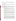Non-profit organizations described in Section 501(c)(4) of the Internal Revenue Code that engage in lobbying activities as defined in Section 3 of the Lobbying Disclosure Act of 1995 are not eligible to receive Federal grants.

## **B. Cost-Sharing or Matching**

There is no statutory or regulatory match requirement under the Clean Air Act Section 103. Eligible and allowable voluntary contributions of funds and/or in-kind contributions of resources will be treated as cost shares under 40 CFR 30.23.

# **C. Threshold Eligibility Criteria**

These are requirements that if not met by the time of proposal submission will result in elimination of the proposal from consideration for funding. Only proposals from eligible entities (see above) that meet all of these criteria will be evaluated against the ranking factors in Section V of this announcement. Applicants deemed ineligible for funding consideration as a result of the threshold eligibility review will be notified within 15 calendar days of the ineligibility determination.

1. a. Proposals must substantially comply with the proposal submission instructions and requirements set forth in Section IV of this announcement or else they will be rejected. In addition, where a page limit is expressed in Section IV with respect to the proposal, pages in excess of the page limitation will not be reviewed.

b. In addition, proposals must be received by the EPA on or before the solicitation closing date published in Section IV of this announcement. Applicants are responsible for ensuring that their proposal reaches the designated person/office specified in Section IV of the announcement by the submission deadline.

c. Proposals received after the published closing date will be considered late and returned to the sender without further consideration unless the applicant can clearly demonstrate that it was late due to EPA mishandling. For hard copy submissions, where Section IV requires proposal receipt by a specific person/office by the submission deadline, receipt by an agency mailroom is not sufficient. Applicants should confirm receipt of their proposal with Kayla Roach as soon as possible after the submission deadline. Failure to do so may result in your proposal not being reviewed.

- 2. Proposals must support Goal 1 "Clean Air and Global Climate Change" of EPA's Strategic Plan: "*Protect and improve the air so it is healthy to breathe and risks to human health and the environment are reduced. Reduce greenhouse gas intensity by enhancing partnerships with businesses and other sectors"*.
- 3. In addition, to be eligible for funding consideration, a project's focus must consist of activities within the statutory terms of EPA's financial assistance authorities; specifically, the CAA sec 103 (b)(3). These activities are limited to research, investigations, experiments, demonstrations, surveys, training, outreach and studies. Generally, a project must address the causes, effects, extent, prevention, reduction, and elimination of air pollution. These activities should relate to the gathering or transferring of information or advancing the state of knowledge. Proposals should emphasize this "learning" concept, as opposed to "fixing" an environmental problem via a well-established method. Proposals relating to other topics which are sometimes included within the term "environment" such as recreation, conservation, restoration, protection of wildlife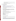habitats, etc., must describe the relationship of these topics to the statutorily required purpose of pollution prevention and/or control.

4. Hard copy proposals will only be accepted via an **express delivery service**. EPA will not accept proposals sent via U.S Postal Service, FAX or email.

#### **IV. Proposal and Submission Information**

#### **A. How to Obtain Proposal Package**

EPA encourages applicants to obtain proposal materials and apply electronically through http://www.grants.gov

Applicants may also download individual grant application forms from EPA's Office of Grants and Debarment website at: http://www.epa.gov/ogd/grants/how\_to\_apply.htm.

To obtain a hard copy of materials, please send an email or written request to the Agency contact listed in Section VII of this announcement.

#### **B. Form of Proposal Submission**

Applicants have the option to submit their proposals in *one of two ways*: 1) Hard copy via express delivery, or 2) electronically via Grants.gov website. Proposals will not be accepted via U.S Postal Service, fax or email. All proposals must be prepared, and include the information, as described in Section IV.C. below regardless of mode of transmission.

### **1. Hard Copy Submission**

Please provide one original of the proposal package (including signed and completed SF-424 and SF424A forms) and four copies–no binders or spiral binding—to:

## **Hard Copy via Express Delivery Address (FedEx, UPS, DHL, etc)**

U.S. EPA Attention: Kayla Roach OAR/OAP/Climate Protection Partnerships Division 1310 L Street, NW,  $9^{th}$  Floor, Office 927G Washington, DC 20005 Phone: (202) 343-9186

### **Hard Copy Proposal Submission Deadline**

All hard copies of proposal packages must be received by Kayla Roach, August 6, 2008 at 4:00 p.m, EST.

## **2. Grants.gov Submission**

The electronic submission of your proposal must be made by an official representative of your institution who is registered with Grants.gov and is authorized to sign applications for Federal assistance. For more information, go to http://www.grants.gov and click on "Get Registered" on the left side of the page. \***Registration process may take a week or longer to complete.** If your organization is not currently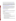registered with Grants.gov, please encourage your office to designate an Authorized Organizational Representative (AOR) and ask that individual to begin the registration process as soon as possible.

To begin the proposal process under this grant announcement, go to http://www.grants.gov and click on the "Apply for Grants" tab on the left side of the page. Then click on "Apply Step 1: Download a Grant Application Package and Instructions" to download the compatible Adobe viewer and obtain the application package for the announcement. **To apply through grants.gov you must use Adobe Reader applications and download the compatible Adobe Reader version (Adobe Reader applications are available to download for free on the Grants.gov website. For more information on Adobe Reader please visit the Help section on grants.gov at** http://www/grants.gov/help/help.jsp, or http://www.grants.gov/aboutgrants/program\_status.jsp).

Once you have downloaded the viewer, you may retrieve the proposal package by entering the Funding Opportunity Number, EPA-OAR-CPPD-08-04, or the CFDA number that applies to the announcement (CFDA 66.034), in the appropriate field. You may also be able to access the application package by clicking on the Application button at the top right of the synopsis page for this announcement on http://www.grants.gov (to find the synopsis page, go to http://www.grants.gov and click on the "Find Grant Opportunities" button on the left side of the page and then go to Search Opportunities and use the Browse by Agency feature to find EPA opportunities).

If you have any questions regarding Grants.gov, please email the Grants.gov Contact Center at support@grants.gov or call 1-800-518-4726.

### **Grants.gov Proposal Submission Deadline**

Your organization's AOR must submit your complete proposal package as described below electronically to EPA through Grants.gov (http://www.grants.gov) no later than **11:59 p.m. EST on August 6, 2008**.

### **Proposal Materials**

### **The following forms and documents are required to be submitted under this announcement:**

- I. Application for Federal Assistance (SF-424)
- II. Budget Information for Non-Construction Programs (SF-424A)
- III. Narrative Proposal **(as described in section IV.C)**

The proposal package *must* include all of the following materials:

**I. Standard Form (SF) 424, Application for Federal Assistance** 

Complete the form. There are no attachments. Please be sure to include organization fax number and email address in Block 5 of the Standard Form SF 424.

Please note that the organizational Dun and Bradstreet (D&B) Data Universal Number System (DUNS) number must be included on the SF-424. Organizations may obtain a DUNS number at no cost by calling the toll-free DUNS number request line at 1-866-705-5711.

### **II. Standard Form SF 424A – Budget Information**:

Complete the form. There are no attachments.

The total amount of federal funding requested for the project period should be shown on line 5(e) and on line 6(k) of SF-424A. If indirect costs are included, the amount of indirect costs should be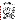entered on line 6(j). The indirect cost rate (i.e., a percentage), the base (e.g., personnel costs and fringe benefits), and the amount should also be indicated on line 22.

#### **\*Selected applicant(s) will need to submit a copy of their current indirect cost rate that has been negotiated with a federal cognizant agency during application phase.**

#### **III. Narrative Proposal**

*The document should be readable in PDF, MS Word or Word Perfect WP6/7/8 for Windows and consolidated into a single file and be prepared in accordance with Section IV.C of the announcement.* 

**Documents I through III** listed under Proposal Materials above should appear in the "Mandatory" Documents" box on the Grants.gov Grant Application Package page.

For documents I and II, click on the appropriate form and then click "Open Form" below the box. The fields that must be completed will be highlighted in yellow. Optional fields and completed fields will be displayed in white. If you enter an invalid response or incomplete information in a field, you will receive an error message. When you have finished filling out each form, click "Save." When you return to the electronic Grant Application Package page, click on the form you just completed, and then click on the box that says, "Move Form to Submission List." This action will move the document over to the box that says, "Mandatory Completed Documents for Submission."

For document number III, the Narrative Proposal, you will need to attach electronic files. Prepare your narrative proposal as described above in Section IV.C.of this announcement and save the document to your computer as an MS Word, PDF or WordPerfect file. When you are ready to attach your proposal to the application package, click on "Project Narrative Attachment Form," and open the form. Click "Add Mandatory Project Narrative File," and then attach your proposal narrative (previously saved to your computer) using the browse window that appears. You may then click "View Mandatory Project Narrative File" to view it. Enter a brief descriptive title of your project in the space beside "Mandatory Project Narrative File Filename." The file name should be no more than 40 characters long. If there are other attachments that you would like to submit to accompany your proposal, you may click "Add Optional Project Narrative File" and proceed as before. When you have finished attaching the necessary documents, click "Close Form." When you return to the "Grant Application Package" page, select the "Project Narrative Attachment Form" and click "Move Form to Submission List." The form should now appear in the box that says, "Mandatory Completed Documents for Submission."

Once your proposal package has been completed and saved, send it to your AOR for submission to U.S. EPA through Grants.gov. Please advise your AOR to close all other software programs before attempting to submit the application package through Grants.gov.

In the "Application Filing Name" box, your AOR should enter your organization's name (abbreviate where possible), the fiscal year (e.g.,  $FY08$ ), and the grant category (e.g., Assoc Prog Supp). The filing name should not exceed 40 characters. From the "Grant Application Package" page, your AOR may submit the application package by clicking the "Submit" button that appears at the top of the page. The AOR will then be asked to verify the agency and funding opportunity number for which the application package is being submitted. If problems are encountered during the submission process, the AOR should reboot his/her computer before trying to submit the application package again. [It may be necessary to turn off the computer (not just restart it) before attempting to submit the package again.] **If the AOR continues to experience submission problems, he/she may contact Grants.gov for assistance by phone at 1-800-518-4726** or email at http://www.grants.gov/help/help.jsp or contact Kayla Roach at (202) 343-9186 or roach.kayla@epa.gov.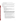Proposal packages submitted thru grants.gov will be time/date stamped electronically.

# **C. Content of Proposal Submission**

All proposal submissions, regardless of mode of submission, must contain a completed and signed Standard Form (SF) 424, Application for Federal Assistance, a completed SF-424, Budget Information—Non Construction Programs, and a Narrative Proposal as described below. Submissions must conform to the outline below.

## **Narrative Proposal**

The Narrative Proposal (section 1-3 below) **may not** exceed a maximum of 20 single-spaced typewritten pages, including the Summary Page. Pages in excess of 20 will not be considered. Supporting materials, such as resumes and letters of support, can be submitted as attachments and are not included in the 20-page limit.

## **1. Summary Information Page**

- a. Project Title.
- b. Applicant Information. Include applicant (organization) name, address, contact person, phone number, fax and email address.
- c. Funding Requested. Specify the amount being requested from EPA.
- d. Total Project Cost. Specific total cost of the project. Identify funding from other sources, including any in-kind resources.
- e. Project period. Provide beginning and ending dates (for planning purposes, applicants should assume a project start date of March 1, 2009).

## **2. Narrative Work Plan**

**\*\*The Narrative must explicitly describe how the proposed project meets the guidelines established in Sections I—III (including the threshold eligibility criteria in Section III.C) of this announcement, and address each of the evaluation criteria set forth in Section V.** 

- **a. Project Summary/Approach:** The summary shall contain the following components:
- i. Detailed project summary, description of specific actions and methods to be undertaken and the responsible institutions, including estimated timeline for each task.
- ii. Description of the associated work products to be developed.
- iii. Explanation of project benefits to the public, and specifically the potential audiences served.
- iv. Description of the roles of the applicant and partners, if any.
- v. Description of the applicant's organization and experience related to the proposed project.
- vi. Description of staff expertise/qualifications, staff knowledge, and resources or the ability to obtain them, to successfully achieve the goals of the proposed project.
- vii. Description of expertise in working with unique constituencies and stakeholders to advance energy efficiency, green power or CHP goals; demonstrated understanding of the technologies and market structure for delivering clean energy technologies and/or best practices to stakeholders; and demonstrated ability to delineate and deploy strategies for overcoming market barriers to greater use of clean energy.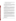viii. Budget and estimated funding amounts for each work component/task. This section provides an opportunity for narrative description of the budget or aspects of the budget found in the SF-424A such as "other" and "contractual."

### **b. Environmental Results—Outcomes and Outputs**

Identify the expected quantitative and qualitative outcomes of the project **(See Section I)**, including what measurements will be used to track your progress towards achieving the expected project outcomes (including those identified in Section I.C) and how the results of the project will be evaluated. Identify the expected project outputs (including those identified in Section I.C) and how progress towards achieving them will be tracked and measured.

### **c. Past Performance**

**I.** Programmatic Capability: Submit a list of federally funded assistance agreements **(assistance agreements include Federal grants and cooperative agreements but not Federal contracts)** similar in size, scope and relevance to the proposed project that your organization performed within the last three years (no more than 5, and preferably EPA agreements) and describe (i) whether, and how, you were able to successfully complete and manage those agreements and (ii) your history of meeting the reporting requirements under those agreements including submitting acceptable final technical reports.

\*In evaluating applicants under these factors in Section V, EPA will consider the information provided by the applicant and may also consider relevant information from other sources, including information from EPA files and from current and prior Federal agency grantors (e.g., to verify and/or supplement the information provided by the applicant). If you do not have any relevant or available past performance or reporting information, please indicate this in the proposal and you will receive a neutral score for these factors under Section V-failure to do so may result in 0 points for the factors.

**II. Reporting on Environmental Results--Outcomes and Outputs:** Submit a list of federally funded assistance agreements **(assistance agreements include Federal grants and cooperative agreements but not Federal contracts)** that **your organization** performed within the last three years ( no more than 5, and preferably EPA agreements**),** and describe how you documented and/or reported on whether you were making progress towards achieving the expected results (e.g., outputs and outcomes) under those agreements. If you were not making progress, please indicate whether, and how, you documented why not.

\*In evaluating applicants under this factor in Section V, EPA will consider the information provided by the applicant and may also consider relevant information from other sources, including information from EPA files and from current and prior Federal agency grantors (e.g., to verify and/or supplement the information provided by the applicant). If you do not have any relevant or available environmental results past performance information, please indicate this in the proposal and you will receive a neutral score for this factor under Section V-failure to do so may result in 0 points for the factor.

## **3. Detailed Budget Narrative**

In addition to the SF-424A, please provide specific total costs of the project (EPA funding and cost share if any).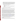Management Fees: When formulating budgets for proposals/applications, applicants must not include management fees or similar charges in excess of the direct costs and indirect costs at the rate approved by the applicants cognizant audit agency, or at the rate provided for by the terms of the agreement negotiated with EPA. The term "management fees or similar charges" refers to expenses added to the direct costs in order to accumulate and reserve funds for ongoing business expenses, unforeseen liabilities, or for other similar costs that are not allowable under EPA assistance agreements. Management fees or similar charges may not be used to improve or expand the project funded under this agreement, except to the extent authorized as a direct cost of carrying out the scope of work.

**4. Attachments** (not included in the 20 page limit)

**a. Resumes.** Provide resumes or curriculum vitae for all principal investigators and any other Key personnel.

**b. Support Letters.** Specifically indicate how the supporting organization will assist in the project.

## **D. Can funding be used to acquire services or fund partnerships?**

EPA awards funds to one eligible applicant as the recipient even if other eligible applicants are named as partners or co-applicants or members of a coalition or consortium. The recipient is accountable to EPA for the proper expenditure of funds.

subgrants including those contained in 40 CFR Parts 30 or 31, as appropriate. Applicants must compete Funding may be used to provide subgrants or subawards of financial assistance, which includes using subawards or subgrants to fund partnerships, provided the recipient complies with applicable requirements for subawards or contracts for services and products, including consultant contracts, and conduct cost and price analyses to the extent required by the procurement provisions of the regulations at 40 CFR Parts 30 or 31, as appropriate. The regulations also contain limitations on consultant compensation. Applicants are not required to identify subawardees/subgrantees and/or contractors (including consultants) in their proposal/application. However, if they do, the fact that an applicant selected for award has named a specific subawardee/subgrantee, contractor, or consultant in the proposal/application EPA selects for funding does not relieve the applicant of its obligations to comply with subaward/subgrant and/or competitive procurement requirements as appropriate. Please note that applicants may not award sole source contracts to consulting, engineering or other firms assisting applicants with the proposal solely based on the firm's role in preparing the proposal/application.

Successful applicants may not use subgrants or subawards to avoid requirements in EPA grant regulations for competitive procurement by using these instruments to acquire commercial services or products from for-profit organizations to carry out its assistance agreement. The nature of the transaction between the recipient and the subawardee or subgrantee must be consistent with the standards for distinguishing between vendor transactions and subrecipient assistance under Subpart B Section .210 of OMB Circular A-133 , and the definitions of subaward at 40 CFR 30.2(ff) or subgrant at 40 CFR 31.3, as applicable. EPA will not be a party to these transactions. Applicants acquiring commercial goods or services must comply with the competitive procurement standards in 40 CFR Part 30 or 40 CFR Part 31 and cannot use a subaward/subgrant as the funding mechanism.

### **E. How will an applicant's proposed subawardees/subgrantees and contractors be considered during the evaluation process described in SectionV of the announcement?**

Section V of the announcement describes the evaluation criteria and evaluation process that will be used by EPA to make selections under this announcement. During this evaluation, except for those criteria that relate to the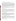appropriate and relevant, the qualifications, expertise, and experience of: applicant's own qualifications, past performance, and reporting history, the review panel will consider, if

 $(i)$  an applicant's named subawardees/subgrantees identified in the proposal/application if the applicant demonstrates in the proposal/application that if it receives an award that the subaward/subgrant will be properly awarded consistent with the applicable regulations in 40 CFR Parts 30 or 31. For example, applicants must not use subawards/subgrants to obtain commercial services or products from for profit firms or individual consultants.  $(iii)$  an applicant's named contractor(s), including consultants, identified in the proposal/application if the applicant demonstrates in its proposal/application that the contractor(s) was selected in compliance with the competitive Procurement Standards in 40 CFR Part 30 or 40 CFR 31.36 as appropriate. For example, an applicant must demonstrate that it selected the contractor(s) competitively or that a proper non-competitive sole-source award consistent with the regulations will be made to the contractor(s), that efforts were made to provide small and disadvantaged businesses with opportunities to compete, and that some form of cost or price analysis was conducted. EPA may not accept sole source justifications for contracts for services or products that are otherwise readily available in the commercial marketplace.

EPA will not consider the qualifications, experience, and expertise of named subawardees/subgrantees and/or named contractor(s) during the proposal/application evaluation process unless the applicant complies with these requirements.

# **F. Submission Dates and Times**

The deadline for receipt of hard copy proposal packages is **August 6, 2008, 4:00 p.m., EST.** All hard copies of proposal packages must be received by **Kayla Roach by 4:00 p.m., EST on August 6, 2008** in order to be considered for funding. Electronic submissions must be submitted via Grants.gov by **August 6, 2008, 11:59 p.m., EST.** Proposals received after the closing date and time will not be considered for funding.

Final (full) grant applications will be requested only from those eligible entities whose proposals have been tentatively selected for award. Additional instructions for final application packages will be provided when the applicant is notified of the tentative selection.

# **G. Confidential Business Information**

In accordance with 40 CFR 2.203, applicants may claim all or a portion of their application/proposal as confidential business information. EPA will evaluate confidentiality claims in accordance with 40 CFR Part 2. Applicants must clearly mark applications/proposals or portions of applications/proposals they claim as confidential. If no claim of confidentiality is made, EPA is not required to make the inquiry to the applicant otherwise required by 40 CFR 2.204(c) (2) prior to disclosure. Note that under Public Law No. 105-277, data produced under an award is subject to the Freedom of Information Act.

# **H. Pre-proposal/Application Communications and Assistance**

In accordance with EPA's Assistance Agreement Competition Policy (EPA Order 5700.5A1), EPA staff will not meet with individual applicants to discuss draft proposals, provide informal comments on draft proposals, or provide advice to applicants on how to respond to ranking criteria. Applicants are responsible for the contents of their applications/proposals. However, EPA will respond to questions in writing from individual applicants regarding eligibility criteria, administrative issues related to the submission of the proposal, and requests for clarification about the announcement.

Applicants are responsible for the content of their proposal, and for ensuring that their proposal is submitted as specified in Section IV of the announcement.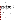# **V. Proposal Review Information**

# **A. Evaluation Criteria**

**Only those proposals that meet the threshold criteria in section III** will be evaluated according to the criteria set forth below. Applicants should directly and explicitly address these criteria as part of their proposal submittal. Each proposal will be rated under a points system, with a total of 100 points possible.

| Criteria                                                                                                                                                                                                                                                                                                                                                                                                                                                                                                                                                                                                                                                                                                                                                                                                                                                                                                                                                                                                                                                                                                                                                                                                                                                                                                                                                                                                                                                                                                                          | <b>Points</b> |
|-----------------------------------------------------------------------------------------------------------------------------------------------------------------------------------------------------------------------------------------------------------------------------------------------------------------------------------------------------------------------------------------------------------------------------------------------------------------------------------------------------------------------------------------------------------------------------------------------------------------------------------------------------------------------------------------------------------------------------------------------------------------------------------------------------------------------------------------------------------------------------------------------------------------------------------------------------------------------------------------------------------------------------------------------------------------------------------------------------------------------------------------------------------------------------------------------------------------------------------------------------------------------------------------------------------------------------------------------------------------------------------------------------------------------------------------------------------------------------------------------------------------------------------|---------------|
| 1. Project Summary/Approach: Under this criterion, the Agency will evaluate the<br>following factors: $(i)$ (30 pts) the extent and quality to which the proposal narrative includes<br>a well-conceived strategy for addressing all of the requirements and objectives stated in<br>Section I, Part B (Scope of Work) and Part C (EPA Strategic Plan Linkage and<br>Anticipated Outcomes/Outputs), (ii) (10 pts) the extent to which the applicant clearly<br>demonstrates how they will ensure timely and successful completion of the project, and how<br>the project goals will contribute to market transformation in terms of engaging relevant and<br>unique constituencies and stakeholders, identifying market barriers, developing strategies to<br>overcome market barriers, and implementing key activities with discrete tasks and time<br>lines, (iii) (10 pts) whether the proposal sets forth a reasonable time schedule for the<br>execution of the tasks associated with the project(s).                                                                                                                                                                                                                                                                                                                                                                                                                                                                                                                        | 50            |
| 2. Environmental Results-Outcomes and Outputs: Extent to which the proposal<br>describes the evaluative component of the project, including how the applicant's success in<br>achieving the expected project outcomes and outputs, including technical specifics identified<br>in Section I, will be tracked and measured.                                                                                                                                                                                                                                                                                                                                                                                                                                                                                                                                                                                                                                                                                                                                                                                                                                                                                                                                                                                                                                                                                                                                                                                                        | 15            |
| 3. Past Performance--Programmatic Capability and Reporting on Environmental<br><b>Results:</b> Under this criterion, the Agency will evaluate the applicant's technical ability to<br>successfully complete and manage the proposed project taking into account the applicants:<br>(i) (5 pts) past performance in successfully completing and managing federally funded<br>assistance agreements (assistance agreements include Federal grants and cooperative<br>agreements but not Federal contracts) similar in size, scope, and relevance to the<br>proposed project performed within the last 3 years, (ii) (5 pts) history of meeting reporting<br>requirements on federally funded assistance agreements (assistance agreements include<br>Federal grants and cooperative agreements but not Federal contracts) similar in size,<br>scope, and relevance to the proposed project performed within the last 3 years and<br>submitting acceptable final technical reports under those agreements, and (iii) (5 pts) past<br>performance in documenting and/or reporting on progress towards achieving the expected<br>outcomes and outputs (e.g., results) under federally funded assistance agreements<br>(assistance agreements include Federal grants and cooperative agreements but not<br>Federal contracts) similar in size, scope and relevance to the proposed project within the<br>last 3 years; and, if such progress was not made whether the documentation and/or reports<br>satisfactorily explained why not. | 15            |
| NOTE: In evaluating applicants under this criterion, the Agency will consider the<br>information provided by the applicant and may also consider relevant information from<br>other sources including agency files and prior/current grantors (e.g., to verify and/or<br>supplement the information supplied by the applicant). Applicants with no relevant or<br>available past performance or reporting history will receive a neutral score for those<br>elements under this criterion. A neutral score is half of the total points available in a subset                                                                                                                                                                                                                                                                                                                                                                                                                                                                                                                                                                                                                                                                                                                                                                                                                                                                                                                                                                      |               |

 $\overline{1}$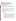| of possible points.                                                                             |  |
|-------------------------------------------------------------------------------------------------|--|
| <b>4. Budget/ Resources:</b> The Agency will evaluate the proposed project budget to determine  |  |
| whether, $(i)$ (5 pts) costs are reasonable to accomplish the proposed goals, objectives, and   |  |
| measurable environmental outcomes, (ii) (5 pts) proposed budget provides an                     |  |
| approximation of the percentage of the budget designated for each major activity.               |  |
| 5. Staff Expertise/Qualifications: (i) (5 pts) Description of staff expertise/qualifications,   |  |
| staff knowledge, and resources or the ability to obtain them, to successfully achieve the       |  |
| goals of the proposed project, (ii) (5 pts) and description of the applicant's organization and |  |
| experience relating to the proposed project.                                                    |  |

## **B. Review and Selection Process**

A review team will evaluate all eligible proposals using the criteria above. Each proposal will be given a numerical score, with a total of 100 points possible, and will be rank ordered according to the numerical score. The review team will develop preliminary funding recommendations for the Approval Official based on this ranking.

# **C. Other Factors**

Final funding decisions will be made by the Approval Official based on the recommendation of the review team. In making the final funding decisions, the Approval Official may also consider: programmatic priorities and geographical diversity of awards. Once final decisions have been made, a funding recommendation will be developed and forwarded to the EPA Award Official.

EPA reserves the right to reject all proposals or applications and make no award as a result of this announcement or make fewer than expected. The EPA Award Official is the only official that can bind the Agency to the expenditure of funds for selected projects resulting from this announcement.

# **VI. Award Administration Information**

## **A. Award Notices**

Following evaluation of Proposals, all applicants will be notified regarding their application's status.

# **1. Proposal Notifications**

a. EPA anticipates notification to *successful* applicant(s) will be made, via telephone, electronic or postal mail by October 1, 2008. The notification will advise the applicant that its Proposal has been successfully evaluated and recommended for award. The notice shall require submission of a Final Application. *(Refer to Section IV (B), Content and form of Application Submission.)* 

This notification, which advises that the applicant's proposal has been recommended for award, is not an authorization to begin performance. The award notice signed by the EPA grants officer is the authorizing document and will be provided through postal mail. At a minimum, this process can take up to 90 days from the date of recommendation.

b. EPA anticipates notification to *unsuccessful* applicant(s) will be made via electronic or postal mail by October 1, 2008. In either event, the notification will be sent to the original signer of the application.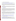## **B. Administrative and National Policy Requirements**

A listing and description of general EPA Regulations applicable to the award of assistance agreements may be viewed at: http://www.epa.gov/ogd/AppKit/applicable\_epa\_regulations\_and\_description.htm.

Executive Order 12372, Intergovernmental Review of Federal Programs may be applicable to awards, resulting from this announcement. Applicants *selected* for funding may be required to provide a copy of their proposal to their State Point of Contact (SPOC) for review, pursuant to Executive Order 12372, Intergovernmental Review of Federal Programs. This review is not required with the Initial Proposal and not all states require such a review.

# **C. DUNS Number**

website at: http://www.dnb.com. All applicants are required to provide a Dun and Bradstreet (D&B) Data Universal Numbering System (DUNS) number when applying for a Federal grant or cooperative agreement. Applicants can receive a DUNS number, at no cost, by calling the dedicated toll-free DUNS Number request line at 1-866-705-5711, or visiting the D&B

## **D. Reporting Requirement**

Quarterly progress reports and a detailed final report will be required. Quarterly reports summarizing technical progress, planned activities for next quarter and summary of expenditures are required. The final report shall be completed within 90 calendar days of the completion of the period of performance. The final report should include: summary of the project or activity, advances achieved, and costs of the project or activity. In addition, the final report shall discuss the problems, successes, and lessons learned from the project or activity that could help overcome structural, organizational or technical obstacles to implementing a similar project elsewhere. The schedule for submission of quarterly reports will be established by EPA, after award.

## **E. Exchange Network**

EPA, states, territories, and tribes are working together to develop the National Environmental Information Exchange Network, a secure, Internet- and standards-based way to support electronic data reporting, sharing, and integration of both regulatory and non-regulatory environmental data. States, tribes and territories exchanging data with each other or with EPA, should make the Exchange Network and the Agency's connection to it, the Central Data Exchange (CDX), the standard way they exchange data and should phase out any legacy methods they have been using. More information on the Exchange Network is available at www.exchangenetwork.net.

# **F. Disputes**

Assistant agreement competition-related disputes will be resolved in accordance with the dispute resolution procedures published in 70 FR (Federal Register) 3629, 3630 (January 26, 2005) located on the web at: http://frwebgate.access.gpo.gov/cgi-in/getpage.cgi?position=all&page=3629&dbname=2005\_register

# **G. Non-profit Administrative Capability**

Non-profit applicants that are recommended for funding under this announcement are subject to pre-award administrative capability reviews consistent with Section 8b, 8c and 9d of EPA Order 5700.8 - Policy on Assessing Capabilities of Non-Profit Applicants for Managing Assistance Awards (http://www.epa.gov/ogd/grants/award/5700\_8.pdf). In addition, non-profit applicants that qualify for funding may, depending on the size of the award, be required to fill out and submit to the Grants Management Office the Administrative Capabilities Form, with supporting documents, contained in Appendix A of EPA Order 5700.8.